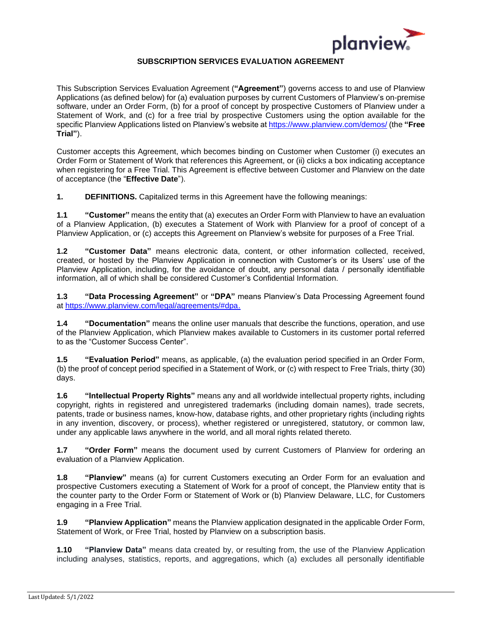

### **SUBSCRIPTION SERVICES EVALUATION AGREEMENT**

This Subscription Services Evaluation Agreement (**"Agreement"**) governs access to and use of Planview Applications (as defined below) for (a) evaluation purposes by current Customers of Planview's on-premise software, under an Order Form, (b) for a proof of concept by prospective Customers of Planview under a Statement of Work, and (c) for a free trial by prospective Customers using the option available for the specific Planview Applications listed on Planview's website a[t https://www.planview.com/demos/](https://www.planview.com/demos/) (the **"Free Trial"**).

Customer accepts this Agreement, which becomes binding on Customer when Customer (i) executes an Order Form or Statement of Work that references this Agreement, or (ii) clicks a box indicating acceptance when registering for a Free Trial. This Agreement is effective between Customer and Planview on the date of acceptance (the "**Effective Date**").

**1. DEFINITIONS.** Capitalized terms in this Agreement have the following meanings:

**1.1 "Customer"** means the entity that (a) executes an Order Form with Planview to have an evaluation of a Planview Application, (b) executes a Statement of Work with Planview for a proof of concept of a Planview Application, or (c) accepts this Agreement on Planview's website for purposes of a Free Trial.

**1.2 "Customer Data"** means electronic data, content, or other information collected, received, created, or hosted by the Planview Application in connection with Customer's or its Users' use of the Planview Application, including, for the avoidance of doubt, any personal data / personally identifiable information, all of which shall be considered Customer's Confidential Information.

**1.3 "Data Processing Agreement"** or **"DPA"** means Planview's Data Processing Agreement found at [https://www.planview.com/legal/agreements/#dpa.](https://www.planview.com/legal/agreements/#dpa)

**1.4 "Documentation"** means the online user manuals that describe the functions, operation, and use of the Planview Application, which Planview makes available to Customers in its customer portal referred to as the "Customer Success Center".

**1.5 "Evaluation Period"** means, as applicable, (a) the evaluation period specified in an Order Form, (b) the proof of concept period specified in a Statement of Work, or (c) with respect to Free Trials, thirty (30) days.

**1.6 "Intellectual Property Rights"** means any and all worldwide intellectual property rights, including copyright, rights in registered and unregistered trademarks (including domain names), trade secrets, patents, trade or business names, know-how, database rights, and other proprietary rights (including rights in any invention, discovery, or process), whether registered or unregistered, statutory, or common law, under any applicable laws anywhere in the world, and all moral rights related thereto.

**1.7 "Order Form"** means the document used by current Customers of Planview for ordering an evaluation of a Planview Application.

**1.8 "Planview"** means (a) for current Customers executing an Order Form for an evaluation and prospective Customers executing a Statement of Work for a proof of concept, the Planview entity that is the counter party to the Order Form or Statement of Work or (b) Planview Delaware, LLC, for Customers engaging in a Free Trial.

**1.9 "Planview Application"** means the Planview application designated in the applicable Order Form, Statement of Work, or Free Trial, hosted by Planview on a subscription basis.

**1.10 "Planview Data"** means data created by, or resulting from, the use of the Planview Application including analyses, statistics, reports, and aggregations, which (a) excludes all personally identifiable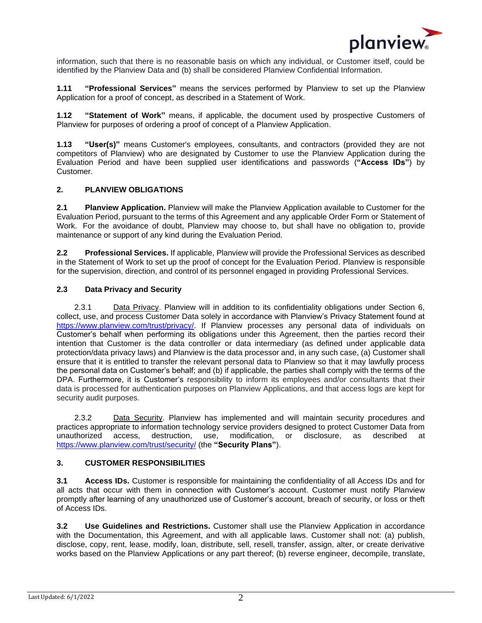

information, such that there is no reasonable basis on which any individual, or Customer itself, could be identified by the Planview Data and (b) shall be considered Planview Confidential Information.

**1.11 "Professional Services"** means the services performed by Planview to set up the Planview Application for a proof of concept, as described in a Statement of Work.

**1.12 "Statement of Work"** means, if applicable, the document used by prospective Customers of Planview for purposes of ordering a proof of concept of a Planview Application.

**1.13 "User(s)"** means Customer's employees, consultants, and contractors (provided they are not competitors of Planview) who are designated by Customer to use the Planview Application during the Evaluation Period and have been supplied user identifications and passwords (**"Access IDs"**) by Customer.

### **2. PLANVIEW OBLIGATIONS**

**2.1 Planview Application.** Planview will make the Planview Application available to Customer for the Evaluation Period, pursuant to the terms of this Agreement and any applicable Order Form or Statement of Work. For the avoidance of doubt, Planview may choose to, but shall have no obligation to, provide maintenance or support of any kind during the Evaluation Period.

**2.2 Professional Services.** If applicable, Planview will provide the Professional Services as described in the Statement of Work to set up the proof of concept for the Evaluation Period. Planview is responsible for the supervision, direction, and control of its personnel engaged in providing Professional Services.

#### **2.3 Data Privacy and Security**

2.3.1 Data Privacy. Planview will in addition to its confidentiality obligations under Section 6, collect, use, and process Customer Data solely in accordance with Planview's Privacy Statement found at [https://www.planview.com/trust/privacy/.](https://www.planview.com/trust/privacy/) If Planview processes any personal data of individuals on Customer's behalf when performing its obligations under this Agreement, then the parties record their intention that Customer is the data controller or data intermediary (as defined under applicable data protection/data privacy laws) and Planview is the data processor and, in any such case, (a) Customer shall ensure that it is entitled to transfer the relevant personal data to Planview so that it may lawfully process the personal data on Customer's behalf; and (b) if applicable, the parties shall comply with the terms of the DPA. Furthermore, it is Customer's responsibility to inform its employees and/or consultants that their data is processed for authentication purposes on Planview Applications, and that access logs are kept for security audit purposes.

2.3.2 Data Security. Planview has implemented and will maintain security procedures and practices appropriate to information technology service providers designed to protect Customer Data from unauthorized access, destruction, use, modification, or disclosure, as described at <https://www.planview.com/trust/security/> (the **"Security Plans"**).

### **3. CUSTOMER RESPONSIBILITIES**

**3.1 Access IDs.** Customer is responsible for maintaining the confidentiality of all Access IDs and for all acts that occur with them in connection with Customer's account. Customer must notify Planview promptly after learning of any unauthorized use of Customer's account, breach of security, or loss or theft of Access IDs.

**3.2 Use Guidelines and Restrictions.** Customer shall use the Planview Application in accordance with the Documentation, this Agreement, and with all applicable laws. Customer shall not: (a) publish, disclose, copy, rent, lease, modify, loan, distribute, sell, resell, transfer, assign, alter, or create derivative works based on the Planview Applications or any part thereof; (b) reverse engineer, decompile, translate,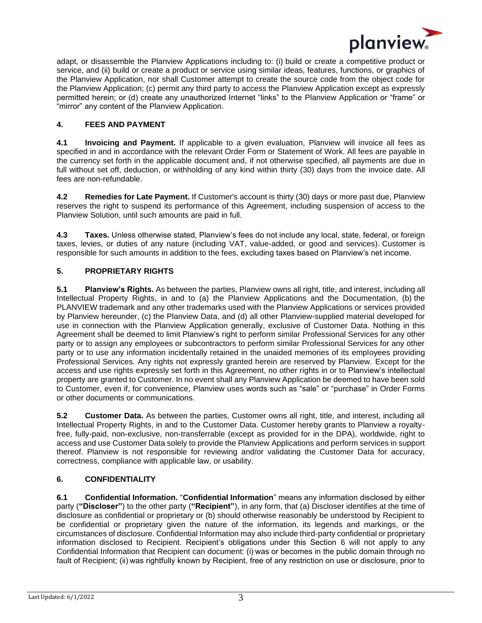

adapt, or disassemble the Planview Applications including to: (i) build or create a competitive product or service, and (ii) build or create a product or service using similar ideas, features, functions, or graphics of the Planview Application, nor shall Customer attempt to create the source code from the object code for the Planview Application; (c) permit any third party to access the Planview Application except as expressly permitted herein; or (d) create any unauthorized Internet "links" to the Planview Application or "frame" or "mirror" any content of the Planview Application.

## **4. FEES AND PAYMENT**

**4.1 Invoicing and Payment.** If applicable to a given evaluation, Planview will invoice all fees as specified in and in accordance with the relevant Order Form or Statement of Work. All fees are payable in the currency set forth in the applicable document and, if not otherwise specified, all payments are due in full without set off, deduction, or withholding of any kind within thirty (30) days from the invoice date. All fees are non-refundable.

**4.2 Remedies for Late Payment.** If Customer's account is thirty (30) days or more past due, Planview reserves the right to suspend its performance of this Agreement, including suspension of access to the Planview Solution, until such amounts are paid in full.

**4.3 Taxes.** Unless otherwise stated, Planview's fees do not include any local, state, federal, or foreign taxes, levies, or duties of any nature (including VAT, value-added, or good and services). Customer is responsible for such amounts in addition to the fees, excluding taxes based on Planview's net income.

## **5. PROPRIETARY RIGHTS**

**5.1 Planview's Rights.** As between the parties, Planview owns all right, title, and interest, including all Intellectual Property Rights, in and to (a) the Planview Applications and the Documentation, (b) the PLANVIEW trademark and any other trademarks used with the Planview Applications or services provided by Planview hereunder, (c) the Planview Data, and (d) all other Planview-supplied material developed for use in connection with the Planview Application generally, exclusive of Customer Data. Nothing in this Agreement shall be deemed to limit Planview's right to perform similar Professional Services for any other party or to assign any employees or subcontractors to perform similar Professional Services for any other party or to use any information incidentally retained in the unaided memories of its employees providing Professional Services. Any rights not expressly granted herein are reserved by Planview. Except for the access and use rights expressly set forth in this Agreement, no other rights in or to Planview's intellectual property are granted to Customer. In no event shall any Planview Application be deemed to have been sold to Customer, even if, for convenience, Planview uses words such as "sale" or "purchase" in Order Forms or other documents or communications.

**5.2 Customer Data.** As between the parties, Customer owns all right, title, and interest, including all Intellectual Property Rights, in and to the Customer Data. Customer hereby grants to Planview a royaltyfree, fully-paid, non-exclusive, non-transferrable (except as provided for in the DPA), worldwide, right to access and use Customer Data solely to provide the Planview Applications and perform services in support thereof. Planview is not responsible for reviewing and/or validating the Customer Data for accuracy, correctness, compliance with applicable law, or usability.

# **6. CONFIDENTIALITY**

**6.1 Confidential Information.** "**Confidential Information**" means any information disclosed by either party (**"Discloser"**) to the other party (**"Recipient"**), in any form, that (a) Discloser identifies at the time of disclosure as confidential or proprietary or (b) should otherwise reasonably be understood by Recipient to be confidential or proprietary given the nature of the information, its legends and markings, or the circumstances of disclosure. Confidential Information may also include third-party confidential or proprietary information disclosed to Recipient. Recipient's obligations under this Section 6 will not apply to any Confidential Information that Recipient can document: (i) was or becomes in the public domain through no fault of Recipient; (ii) was rightfully known by Recipient, free of any restriction on use or disclosure, prior to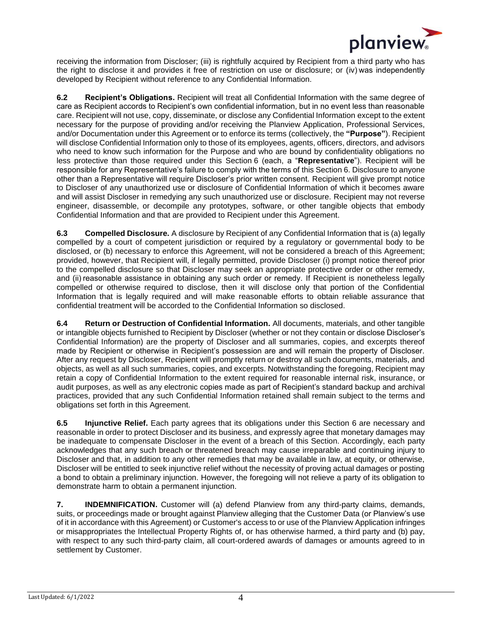

receiving the information from Discloser; (iii) is rightfully acquired by Recipient from a third party who has the right to disclose it and provides it free of restriction on use or disclosure; or (iv) was independently developed by Recipient without reference to any Confidential Information.

**6.2 Recipient's Obligations.** Recipient will treat all Confidential Information with the same degree of care as Recipient accords to Recipient's own confidential information, but in no event less than reasonable care. Recipient will not use, copy, disseminate, or disclose any Confidential Information except to the extent necessary for the purpose of providing and/or receiving the Planview Application, Professional Services, and/or Documentation under this Agreement or to enforce its terms (collectively, the **"Purpose"**). Recipient will disclose Confidential Information only to those of its employees, agents, officers, directors, and advisors who need to know such information for the Purpose and who are bound by confidentiality obligations no less protective than those required under this Section 6 (each, a "**Representative**"). Recipient will be responsible for any Representative's failure to comply with the terms of this Section 6. Disclosure to anyone other than a Representative will require Discloser's prior written consent. Recipient will give prompt notice to Discloser of any unauthorized use or disclosure of Confidential Information of which it becomes aware and will assist Discloser in remedying any such unauthorized use or disclosure. Recipient may not reverse engineer, disassemble, or decompile any prototypes, software, or other tangible objects that embody Confidential Information and that are provided to Recipient under this Agreement.

**6.3 Compelled Disclosure.** A disclosure by Recipient of any Confidential Information that is (a) legally compelled by a court of competent jurisdiction or required by a regulatory or governmental body to be disclosed, or (b) necessary to enforce this Agreement, will not be considered a breach of this Agreement; provided, however, that Recipient will, if legally permitted, provide Discloser (i) prompt notice thereof prior to the compelled disclosure so that Discloser may seek an appropriate protective order or other remedy, and (ii) reasonable assistance in obtaining any such order or remedy. If Recipient is nonetheless legally compelled or otherwise required to disclose, then it will disclose only that portion of the Confidential Information that is legally required and will make reasonable efforts to obtain reliable assurance that confidential treatment will be accorded to the Confidential Information so disclosed.

**6.4 Return or Destruction of Confidential Information.** All documents, materials, and other tangible or intangible objects furnished to Recipient by Discloser (whether or not they contain or disclose Discloser's Confidential Information) are the property of Discloser and all summaries, copies, and excerpts thereof made by Recipient or otherwise in Recipient's possession are and will remain the property of Discloser. After any request by Discloser, Recipient will promptly return or destroy all such documents, materials, and objects, as well as all such summaries, copies, and excerpts. Notwithstanding the foregoing, Recipient may retain a copy of Confidential Information to the extent required for reasonable internal risk, insurance, or audit purposes, as well as any electronic copies made as part of Recipient's standard backup and archival practices, provided that any such Confidential Information retained shall remain subject to the terms and obligations set forth in this Agreement.

**6.5 Injunctive Relief.** Each party agrees that its obligations under this Section 6 are necessary and reasonable in order to protect Discloser and its business, and expressly agree that monetary damages may be inadequate to compensate Discloser in the event of a breach of this Section. Accordingly, each party acknowledges that any such breach or threatened breach may cause irreparable and continuing injury to Discloser and that, in addition to any other remedies that may be available in law, at equity, or otherwise, Discloser will be entitled to seek injunctive relief without the necessity of proving actual damages or posting a bond to obtain a preliminary injunction. However, the foregoing will not relieve a party of its obligation to demonstrate harm to obtain a permanent injunction.

**7. INDEMNIFICATION.** Customer will (a) defend Planview from any third-party claims, demands, suits, or proceedings made or brought against Planview alleging that the Customer Data (or Planview's use of it in accordance with this Agreement) or Customer's access to or use of the Planview Application infringes or misappropriates the Intellectual Property Rights of, or has otherwise harmed, a third party and (b) pay, with respect to any such third-party claim, all court-ordered awards of damages or amounts agreed to in settlement by Customer.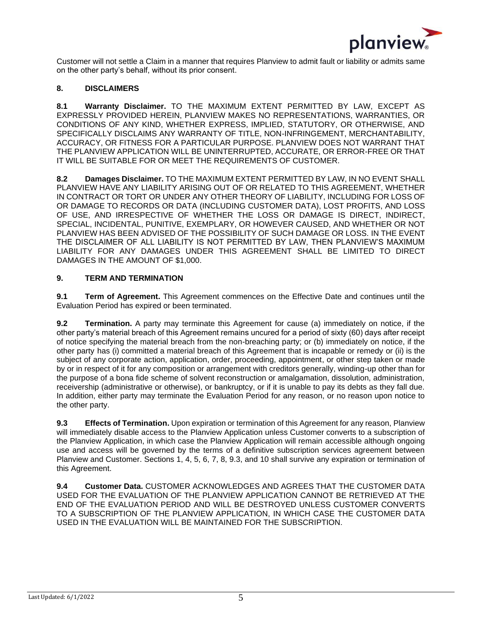

Customer will not settle a Claim in a manner that requires Planview to admit fault or liability or admits same on the other party's behalf, without its prior consent.

### **8. DISCLAIMERS**

**8.1 Warranty Disclaimer.** TO THE MAXIMUM EXTENT PERMITTED BY LAW, EXCEPT AS EXPRESSLY PROVIDED HEREIN, PLANVIEW MAKES NO REPRESENTATIONS, WARRANTIES, OR CONDITIONS OF ANY KIND, WHETHER EXPRESS, IMPLIED, STATUTORY, OR OTHERWISE, AND SPECIFICALLY DISCLAIMS ANY WARRANTY OF TITLE, NON-INFRINGEMENT, MERCHANTABILITY, ACCURACY, OR FITNESS FOR A PARTICULAR PURPOSE. PLANVIEW DOES NOT WARRANT THAT THE PLANVIEW APPLICATION WILL BE UNINTERRUPTED, ACCURATE, OR ERROR-FREE OR THAT IT WILL BE SUITABLE FOR OR MEET THE REQUIREMENTS OF CUSTOMER.

**8.2 Damages Disclaimer.** TO THE MAXIMUM EXTENT PERMITTED BY LAW, IN NO EVENT SHALL PLANVIEW HAVE ANY LIABILITY ARISING OUT OF OR RELATED TO THIS AGREEMENT, WHETHER IN CONTRACT OR TORT OR UNDER ANY OTHER THEORY OF LIABILITY, INCLUDING FOR LOSS OF OR DAMAGE TO RECORDS OR DATA (INCLUDING CUSTOMER DATA), LOST PROFITS, AND LOSS OF USE, AND IRRESPECTIVE OF WHETHER THE LOSS OR DAMAGE IS DIRECT, INDIRECT, SPECIAL, INCIDENTAL, PUNITIVE, EXEMPLARY, OR HOWEVER CAUSED, AND WHETHER OR NOT PLANVIEW HAS BEEN ADVISED OF THE POSSIBILITY OF SUCH DAMAGE OR LOSS. IN THE EVENT THE DISCLAIMER OF ALL LIABILITY IS NOT PERMITTED BY LAW, THEN PLANVIEW'S MAXIMUM LIABILITY FOR ANY DAMAGES UNDER THIS AGREEMENT SHALL BE LIMITED TO DIRECT DAMAGES IN THE AMOUNT OF \$1,000.

## **9. TERM AND TERMINATION**

**9.1 Term of Agreement.** This Agreement commences on the Effective Date and continues until the Evaluation Period has expired or been terminated.

**9.2 Termination.** A party may terminate this Agreement for cause (a) immediately on notice, if the other party's material breach of this Agreement remains uncured for a period of sixty (60) days after receipt of notice specifying the material breach from the non-breaching party; or (b) immediately on notice, if the other party has (i) committed a material breach of this Agreement that is incapable or remedy or (ii) is the subject of any corporate action, application, order, proceeding, appointment, or other step taken or made by or in respect of it for any composition or arrangement with creditors generally, winding-up other than for the purpose of a bona fide scheme of solvent reconstruction or amalgamation, dissolution, administration, receivership (administrative or otherwise), or bankruptcy, or if it is unable to pay its debts as they fall due. In addition, either party may terminate the Evaluation Period for any reason, or no reason upon notice to the other party.

**9.3 Effects of Termination.** Upon expiration or termination of this Agreement for any reason, Planview will immediately disable access to the Planview Application unless Customer converts to a subscription of the Planview Application, in which case the Planview Application will remain accessible although ongoing use and access will be governed by the terms of a definitive subscription services agreement between Planview and Customer. Sections 1, 4, 5, 6, 7, 8, 9.3, and 10 shall survive any expiration or termination of this Agreement.

**9.4 Customer Data.** CUSTOMER ACKNOWLEDGES AND AGREES THAT THE CUSTOMER DATA USED FOR THE EVALUATION OF THE PLANVIEW APPLICATION CANNOT BE RETRIEVED AT THE END OF THE EVALUATION PERIOD AND WILL BE DESTROYED UNLESS CUSTOMER CONVERTS TO A SUBSCRIPTION OF THE PLANVIEW APPLICATION, IN WHICH CASE THE CUSTOMER DATA USED IN THE EVALUATION WILL BE MAINTAINED FOR THE SUBSCRIPTION.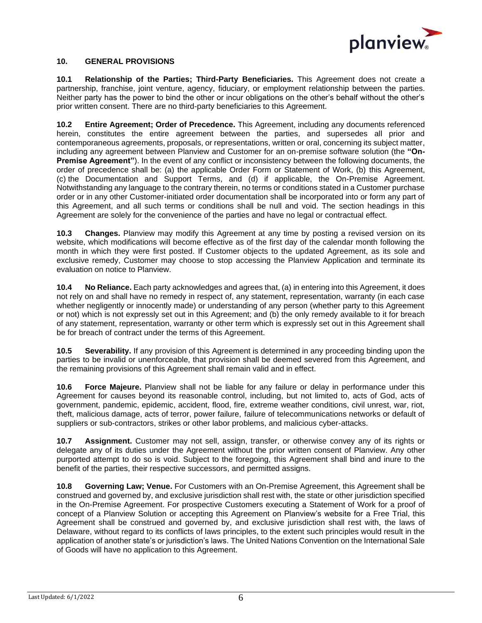

#### **10. GENERAL PROVISIONS**

**10.1 Relationship of the Parties; Third-Party Beneficiaries.** This Agreement does not create a partnership, franchise, joint venture, agency, fiduciary, or employment relationship between the parties. Neither party has the power to bind the other or incur obligations on the other's behalf without the other's prior written consent. There are no third-party beneficiaries to this Agreement.

**10.2 Entire Agreement; Order of Precedence.** This Agreement, including any documents referenced herein, constitutes the entire agreement between the parties, and supersedes all prior and contemporaneous agreements, proposals, or representations, written or oral, concerning its subject matter, including any agreement between Planview and Customer for an on-premise software solution (the **"On-Premise Agreement"**). In the event of any conflict or inconsistency between the following documents, the order of precedence shall be: (a) the applicable Order Form or Statement of Work, (b) this Agreement, (c) the Documentation and Support Terms, and (d) if applicable, the On-Premise Agreement. Notwithstanding any language to the contrary therein, no terms or conditions stated in a Customer purchase order or in any other Customer-initiated order documentation shall be incorporated into or form any part of this Agreement, and all such terms or conditions shall be null and void. The section headings in this Agreement are solely for the convenience of the parties and have no legal or contractual effect.

**10.3 Changes.** Planview may modify this Agreement at any time by posting a revised version on its website, which modifications will become effective as of the first day of the calendar month following the month in which they were first posted. If Customer objects to the updated Agreement, as its sole and exclusive remedy, Customer may choose to stop accessing the Planview Application and terminate its evaluation on notice to Planview.

**10.4 No Reliance.** Each party acknowledges and agrees that, (a) in entering into this Agreement, it does not rely on and shall have no remedy in respect of, any statement, representation, warranty (in each case whether negligently or innocently made) or understanding of any person (whether party to this Agreement or not) which is not expressly set out in this Agreement; and (b) the only remedy available to it for breach of any statement, representation, warranty or other term which is expressly set out in this Agreement shall be for breach of contract under the terms of this Agreement.

**10.5 Severability.** If any provision of this Agreement is determined in any proceeding binding upon the parties to be invalid or unenforceable, that provision shall be deemed severed from this Agreement, and the remaining provisions of this Agreement shall remain valid and in effect.

**10.6 Force Majeure.** Planview shall not be liable for any failure or delay in performance under this Agreement for causes beyond its reasonable control, including, but not limited to, acts of God, acts of government, pandemic, epidemic, accident, flood, fire, extreme weather conditions, civil unrest, war, riot, theft, malicious damage, acts of terror, power failure, failure of telecommunications networks or default of suppliers or sub-contractors, strikes or other labor problems, and malicious cyber-attacks.

**10.7 Assignment.** Customer may not sell, assign, transfer, or otherwise convey any of its rights or delegate any of its duties under the Agreement without the prior written consent of Planview. Any other purported attempt to do so is void. Subject to the foregoing, this Agreement shall bind and inure to the benefit of the parties, their respective successors, and permitted assigns.

**10.8 Governing Law; Venue.** For Customers with an On-Premise Agreement, this Agreement shall be construed and governed by, and exclusive jurisdiction shall rest with, the state or other jurisdiction specified in the On-Premise Agreement. For prospective Customers executing a Statement of Work for a proof of concept of a Planview Solution or accepting this Agreement on Planview's website for a Free Trial, this Agreement shall be construed and governed by, and exclusive jurisdiction shall rest with, the laws of Delaware, without regard to its conflicts of laws principles, to the extent such principles would result in the application of another state's or jurisdiction's laws. The United Nations Convention on the International Sale of Goods will have no application to this Agreement.